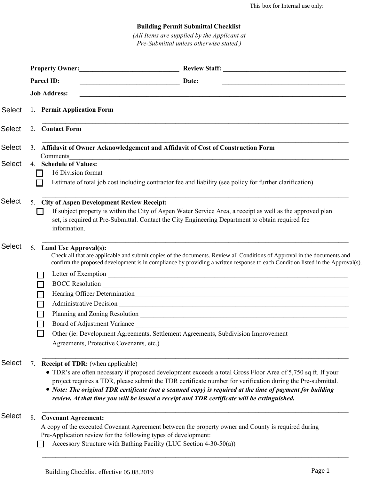## **Building Permit Submittal Checklist**

*(All Items are supplied by the Applicant at Pre-Submittal unless otherwise stated.)*

|               | Property Owner:                                                                                                                                                                                                                                                                                                                                                                                                                                                                           |                                                                                                                                                                                                                                                                                                                                                 |
|---------------|-------------------------------------------------------------------------------------------------------------------------------------------------------------------------------------------------------------------------------------------------------------------------------------------------------------------------------------------------------------------------------------------------------------------------------------------------------------------------------------------|-------------------------------------------------------------------------------------------------------------------------------------------------------------------------------------------------------------------------------------------------------------------------------------------------------------------------------------------------|
|               | Parcel ID:                                                                                                                                                                                                                                                                                                                                                                                                                                                                                | Date:<br><u> 1989 - Johann Barbara, martin amerikan basal dan berasal dalam basal dalam basal dalam basal dalam basal dala</u>                                                                                                                                                                                                                  |
|               | <b>Job Address:</b>                                                                                                                                                                                                                                                                                                                                                                                                                                                                       | <u> 1989 - Johann Stoff, amerikansk politiker (d. 1989)</u>                                                                                                                                                                                                                                                                                     |
| Select        | 1. Permit Application Form                                                                                                                                                                                                                                                                                                                                                                                                                                                                |                                                                                                                                                                                                                                                                                                                                                 |
| <b>Select</b> | 2. Contact Form                                                                                                                                                                                                                                                                                                                                                                                                                                                                           |                                                                                                                                                                                                                                                                                                                                                 |
| <b>Select</b> | Comments                                                                                                                                                                                                                                                                                                                                                                                                                                                                                  | 3. Affidavit of Owner Acknowledgement and Affidavit of Cost of Construction Form                                                                                                                                                                                                                                                                |
| <b>Select</b> | 4. Schedule of Values:<br>16 Division format                                                                                                                                                                                                                                                                                                                                                                                                                                              | Estimate of total job cost including contractor fee and liability (see policy for further clarification)                                                                                                                                                                                                                                        |
| <b>Select</b> | 5. City of Aspen Development Review Receipt:<br>If subject property is within the City of Aspen Water Service Area, a receipt as well as the approved plan<br>set, is required at Pre-Submittal. Contact the City Engineering Department to obtain required fee<br>information.                                                                                                                                                                                                           |                                                                                                                                                                                                                                                                                                                                                 |
| <b>Select</b> | 6. Land Use Approval(s):<br>Agreements, Protective Covenants, etc.)                                                                                                                                                                                                                                                                                                                                                                                                                       | Check all that are applicable and submit copies of the documents. Review all Conditions of Approval in the documents and<br>confirm the proposed development is in compliance by providing a written response to each Condition listed in the Approval(s).<br>Other (ie: Development Agreements, Settlement Agreements, Subdivision Improvement |
| Select        | <b>Receipt of TDR:</b> (when applicable)<br>7.<br>• TDR's are often necessary if proposed development exceeds a total Gross Floor Area of 5,750 sq ft. If your<br>project requires a TDR, please submit the TDR certificate number for verification during the Pre-submittal.<br>• Note: The original TDR certificate (not a scanned copy) is required at the time of payment for building<br>review. At that time you will be issued a receipt and TDR certificate will be extinguished. |                                                                                                                                                                                                                                                                                                                                                 |
| <b>Select</b> | <b>Covenant Agreement:</b><br>8.<br>Pre-Application review for the following types of development:                                                                                                                                                                                                                                                                                                                                                                                        | A copy of the executed Covenant Agreement between the property owner and County is required during<br>Accessory Structure with Bathing Facility (LUC Section 4-30-50(a))                                                                                                                                                                        |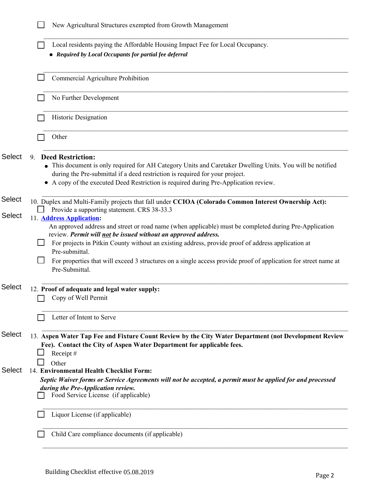|                         | New Agricultural Structures exempted from Growth Management                                                                                                                                                                                                                                                                                                                                                                                           |  |
|-------------------------|-------------------------------------------------------------------------------------------------------------------------------------------------------------------------------------------------------------------------------------------------------------------------------------------------------------------------------------------------------------------------------------------------------------------------------------------------------|--|
|                         | Local residents paying the Affordable Housing Impact Fee for Local Occupancy.<br>• Required by Local Occupants for partial fee deferral                                                                                                                                                                                                                                                                                                               |  |
|                         | Commercial Agriculture Prohibition                                                                                                                                                                                                                                                                                                                                                                                                                    |  |
|                         | No Further Development                                                                                                                                                                                                                                                                                                                                                                                                                                |  |
|                         | Historic Designation                                                                                                                                                                                                                                                                                                                                                                                                                                  |  |
|                         | Other                                                                                                                                                                                                                                                                                                                                                                                                                                                 |  |
| <b>Select</b>           | <b>Deed Restriction:</b><br>9.<br>This document is only required for AH Category Units and Caretaker Dwelling Units. You will be notified<br>during the Pre-submittal if a deed restriction is required for your project.<br>A copy of the executed Deed Restriction is required during Pre-Application review.<br>٠                                                                                                                                  |  |
| Select<br><b>Select</b> | 10. Duplex and Multi-Family projects that fall under CCIOA (Colorado Common Interest Ownership Act):<br>Provide a supporting statement. CRS 38-33.3<br>11. <b>Address Application:</b>                                                                                                                                                                                                                                                                |  |
|                         | An approved address and street or road name (when applicable) must be completed during Pre-Application<br>review. Permit will not be issued without an approved address.<br>For projects in Pitkin County without an existing address, provide proof of address application at<br>Pre-submittal.<br>For properties that will exceed 3 structures on a single access provide proof of application for street name at<br>$\mathsf{L}$<br>Pre-Submittal. |  |
| <b>Select</b>           | 12. Proof of adequate and legal water supply:<br>Copy of Well Permit                                                                                                                                                                                                                                                                                                                                                                                  |  |
|                         | Letter of Intent to Serve                                                                                                                                                                                                                                                                                                                                                                                                                             |  |
| <b>Select</b>           | 13. Aspen Water Tap Fee and Fixture Count Review by the City Water Department (not Development Review<br>Fee). Contact the City of Aspen Water Department for applicable fees.<br>Receipt#<br>Other                                                                                                                                                                                                                                                   |  |
| <b>Select</b>           | 14. Environmental Health Checklist Form:<br>Septic Waiver forms or Service Agreements will not be accepted, a permit must be applied for and processed<br>during the Pre-Application review.<br>Food Service License (if applicable)                                                                                                                                                                                                                  |  |
|                         | Liquor License (if applicable)                                                                                                                                                                                                                                                                                                                                                                                                                        |  |
|                         | Child Care compliance documents (if applicable)                                                                                                                                                                                                                                                                                                                                                                                                       |  |
|                         |                                                                                                                                                                                                                                                                                                                                                                                                                                                       |  |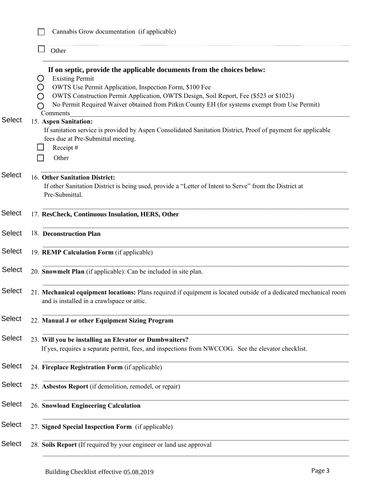|               | Cannabis Grow documentation (if applicable)                                                                                                                                                                                                                                                                                                                                          |        |
|---------------|--------------------------------------------------------------------------------------------------------------------------------------------------------------------------------------------------------------------------------------------------------------------------------------------------------------------------------------------------------------------------------------|--------|
|               | Other                                                                                                                                                                                                                                                                                                                                                                                |        |
|               | If on septic, provide the applicable documents from the choices below:<br><b>Existing Permit</b><br>O<br>OWTS Use Permit Application, Inspection Form, \$100 Fee<br>( )<br>OWTS Construction Permit Application, OWTS Design, Soil Report, Fee (\$523 or \$1023)<br>( )<br>No Permit Required Waiver obtained from Pitkin County EH (for systems exempt from Use Permit)<br>Comments |        |
| <b>Select</b> | 15. Aspen Sanitation:<br>If sanitation service is provided by Aspen Consolidated Sanitation District, Proof of payment for applicable<br>fees due at Pre-Submittal meeting.<br>Receipt#<br>Other                                                                                                                                                                                     |        |
| <b>Select</b> | 16. Other Sanitation District:<br>If other Sanitation District is being used, provide a "Letter of Intent to Serve" from the District at<br>Pre-Submittal.                                                                                                                                                                                                                           |        |
| <b>Select</b> | 17. ResCheck, Continuous Insulation, HERS, Other                                                                                                                                                                                                                                                                                                                                     |        |
| <b>Select</b> | 18. Deconstruction Plan                                                                                                                                                                                                                                                                                                                                                              |        |
| <b>Select</b> | 19. REMP Calculation Form (if applicable)                                                                                                                                                                                                                                                                                                                                            |        |
| <b>Select</b> | 20. Snowmelt Plan (if applicable): Can be included in site plan.                                                                                                                                                                                                                                                                                                                     |        |
| <b>Select</b> | 21. Mechanical equipment locations: Plans required if equipment is located outside of a dedicated mechanical room<br>and is installed in a crawlspace or attic.                                                                                                                                                                                                                      |        |
| <b>Select</b> | 22. Manual J or other Equipment Sizing Program                                                                                                                                                                                                                                                                                                                                       |        |
| <b>Select</b> | 23. Will you be installing an Elevator or Dumbwaiters?<br>If yes, requires a separate permit, fees, and inspections from NWCCOG. See the elevator checklist.                                                                                                                                                                                                                         |        |
| <b>Select</b> | 24. Fireplace Registration Form (if applicable)                                                                                                                                                                                                                                                                                                                                      |        |
| <b>Select</b> | 25. Asbestos Report (if demolition, remodel, or repair)                                                                                                                                                                                                                                                                                                                              |        |
| <b>Select</b> | 26. Snowload Engineering Calculation                                                                                                                                                                                                                                                                                                                                                 |        |
| <b>Select</b> | 27. Signed Special Inspection Form (if applicable)                                                                                                                                                                                                                                                                                                                                   |        |
| <b>Select</b> | 28. Soils Report (If required by your engineer or land use approval                                                                                                                                                                                                                                                                                                                  |        |
|               | Building Checklist effective 05.08.2019                                                                                                                                                                                                                                                                                                                                              | Page 3 |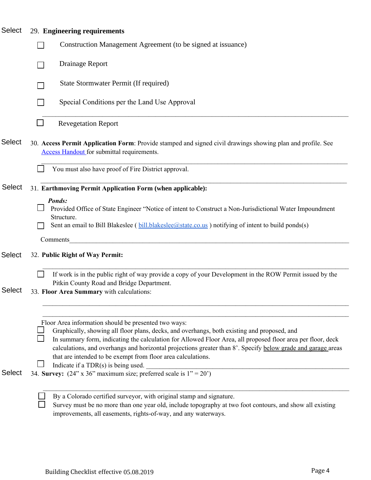| <b>Select</b> | 29. Engineering requirements                                                                                                                                                                                                                                                                                                                                                                                                                                                                |  |
|---------------|---------------------------------------------------------------------------------------------------------------------------------------------------------------------------------------------------------------------------------------------------------------------------------------------------------------------------------------------------------------------------------------------------------------------------------------------------------------------------------------------|--|
|               | Construction Management Agreement (to be signed at issuance)                                                                                                                                                                                                                                                                                                                                                                                                                                |  |
|               | Drainage Report                                                                                                                                                                                                                                                                                                                                                                                                                                                                             |  |
|               | State Stormwater Permit (If required)                                                                                                                                                                                                                                                                                                                                                                                                                                                       |  |
|               | Special Conditions per the Land Use Approval                                                                                                                                                                                                                                                                                                                                                                                                                                                |  |
|               | <b>Revegetation Report</b>                                                                                                                                                                                                                                                                                                                                                                                                                                                                  |  |
| <b>Select</b> | 30. Access Permit Application Form: Provide stamped and signed civil drawings showing plan and profile. See<br><b>Access Handout</b> for submittal requirements.                                                                                                                                                                                                                                                                                                                            |  |
|               | You must also have proof of Fire District approval.                                                                                                                                                                                                                                                                                                                                                                                                                                         |  |
| <b>Select</b> | 31. Earthmoving Permit Application Form (when applicable):                                                                                                                                                                                                                                                                                                                                                                                                                                  |  |
|               | Ponds:<br>Provided Office of State Engineer "Notice of intent to Construct a Non-Jurisdictional Water Impoundment<br>Structure.<br>Sent an email to Bill Blakeslee (bill blakeslee@state.co.us) notifying of intent to build ponds(s)                                                                                                                                                                                                                                                       |  |
|               | Comments                                                                                                                                                                                                                                                                                                                                                                                                                                                                                    |  |
| <b>Select</b> | 32. Public Right of Way Permit:                                                                                                                                                                                                                                                                                                                                                                                                                                                             |  |
| Select        | If work is in the public right of way provide a copy of your Development in the ROW Permit issued by the<br>Pitkin County Road and Bridge Department.<br>33. Floor Area Summary with calculations:                                                                                                                                                                                                                                                                                          |  |
|               |                                                                                                                                                                                                                                                                                                                                                                                                                                                                                             |  |
|               | Floor Area information should be presented two ways:<br>Graphically, showing all floor plans, decks, and overhangs, both existing and proposed, and<br>In summary form, indicating the calculation for Allowed Floor Area, all proposed floor area per floor, deck<br>calculations, and overhangs and horizontal projections greater than 8'. Specify below grade and garage areas<br>that are intended to be exempt from floor area calculations.<br>Indicate if a $TDR(s)$ is being used. |  |
| <b>Select</b> | 34. Survey: $(24" \times 36"$ maximum size; preferred scale is $1" = 20'$ )                                                                                                                                                                                                                                                                                                                                                                                                                 |  |
|               | By a Colorado certified surveyor, with original stamp and signature.<br>Survey must be no more than one year old, include topography at two foot contours, and show all existing<br>improvements, all easements, rights-of-way, and any waterways.                                                                                                                                                                                                                                          |  |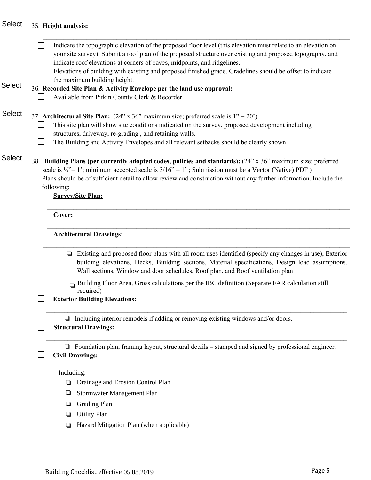|               | Indicate the topographic elevation of the proposed floor level (this elevation must relate to an elevation on<br>your site survey). Submit a roof plan of the proposed structure over existing and proposed topography, and<br>indicate roof elevations at corners of eaves, midpoints, and ridgelines. |
|---------------|---------------------------------------------------------------------------------------------------------------------------------------------------------------------------------------------------------------------------------------------------------------------------------------------------------|
|               | Elevations of building with existing and proposed finished grade. Gradelines should be offset to indicate<br>$\Box$                                                                                                                                                                                     |
| <b>Select</b> | the maximum building height.<br>36. Recorded Site Plan & Activity Envelope per the land use approval:                                                                                                                                                                                                   |
|               | Available from Pitkin County Clerk & Recorder                                                                                                                                                                                                                                                           |
|               |                                                                                                                                                                                                                                                                                                         |
| <b>Select</b> | 37. Architectural Site Plan: $(24" \times 36"$ maximum size; preferred scale is $1" = 20"$ )                                                                                                                                                                                                            |
|               | This site plan will show site conditions indicated on the survey, proposed development including                                                                                                                                                                                                        |
|               | structures, driveway, re-grading, and retaining walls.                                                                                                                                                                                                                                                  |
|               | The Building and Activity Envelopes and all relevant setbacks should be clearly shown.                                                                                                                                                                                                                  |
|               |                                                                                                                                                                                                                                                                                                         |
| <b>Select</b> | Building Plans (per currently adopted codes, policies and standards): (24" x 36" maximum size; preferred<br>38                                                                                                                                                                                          |
|               | scale is $\frac{1}{4}$ = 1; minimum accepted scale is $3/16$ = 1; Submission must be a Vector (Native) PDF)                                                                                                                                                                                             |
|               | Plans should be of sufficient detail to allow review and construction without any further information. Include the                                                                                                                                                                                      |
|               | following:                                                                                                                                                                                                                                                                                              |
|               | <b>Survey/Site Plan:</b>                                                                                                                                                                                                                                                                                |
|               |                                                                                                                                                                                                                                                                                                         |
|               | Cover:                                                                                                                                                                                                                                                                                                  |
|               | <b>Architectural Drawings:</b>                                                                                                                                                                                                                                                                          |
|               |                                                                                                                                                                                                                                                                                                         |
|               | Existing and proposed floor plans with all room uses identified (specify any changes in use), Exterior<br>❏<br>building elevations, Decks, Building sections, Material specifications, Design load assumptions,<br>Wall sections, Window and door schedules, Roof plan, and Roof ventilation plan       |
|               | $\Box$ Building Floor Area, Gross calculations per the IBC definition (Separate FAR calculation still                                                                                                                                                                                                   |
|               | required)                                                                                                                                                                                                                                                                                               |
|               | <b>Exterior Building Elevations:</b>                                                                                                                                                                                                                                                                    |
|               |                                                                                                                                                                                                                                                                                                         |
|               | $\Box$ Including interior remodels if adding or removing existing windows and/or doors.                                                                                                                                                                                                                 |
|               | <b>Structural Drawings:</b>                                                                                                                                                                                                                                                                             |
|               |                                                                                                                                                                                                                                                                                                         |
|               | $\Box$ Foundation plan, framing layout, structural details – stamped and signed by professional engineer.                                                                                                                                                                                               |
|               | <b>Civil Drawings:</b>                                                                                                                                                                                                                                                                                  |
|               | Including:                                                                                                                                                                                                                                                                                              |
|               | Drainage and Erosion Control Plan<br>⊔                                                                                                                                                                                                                                                                  |
|               |                                                                                                                                                                                                                                                                                                         |
|               | Stormwater Management Plan<br>❏                                                                                                                                                                                                                                                                         |
|               | <b>Grading Plan</b><br>❏                                                                                                                                                                                                                                                                                |
|               | <b>Utility Plan</b><br>⊔                                                                                                                                                                                                                                                                                |
|               | Hazard Mitigation Plan (when applicable)<br>⊔                                                                                                                                                                                                                                                           |
|               |                                                                                                                                                                                                                                                                                                         |
|               |                                                                                                                                                                                                                                                                                                         |